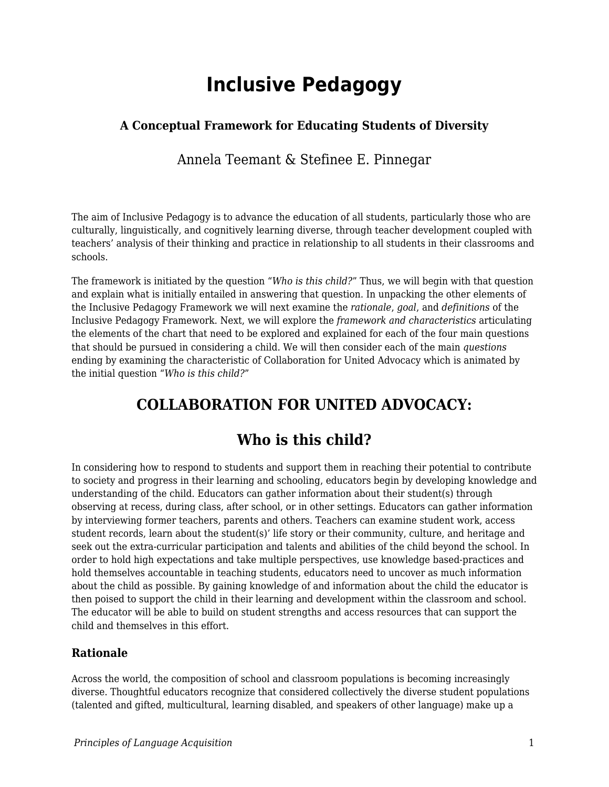# **Inclusive Pedagogy**

## **A Conceptual Framework for Educating Students of Diversity**

Annela Teemant & Stefinee E. Pinnegar

The aim of Inclusive Pedagogy is to advance the education of all students, particularly those who are culturally, linguistically, and cognitively learning diverse, through teacher development coupled with teachers' analysis of their thinking and practice in relationship to all students in their classrooms and schools.

The framework is initiated by the question "*Who is this child?*" Thus, we will begin with that question and explain what is initially entailed in answering that question. In unpacking the other elements of the Inclusive Pedagogy Framework we will next examine the *rationale*, *goal*, and *definitions* of the Inclusive Pedagogy Framework. Next, we will explore the *framework and characteristics* articulating the elements of the chart that need to be explored and explained for each of the four main questions that should be pursued in considering a child. We will then consider each of the main *questions* ending by examining the characteristic of Collaboration for United Advocacy which is animated by the initial question "*Who is this child?*"

## **COLLABORATION FOR UNITED ADVOCACY:**

## **Who is this child?**

In considering how to respond to students and support them in reaching their potential to contribute to society and progress in their learning and schooling, educators begin by developing knowledge and understanding of the child. Educators can gather information about their student(s) through observing at recess, during class, after school, or in other settings. Educators can gather information by interviewing former teachers, parents and others. Teachers can examine student work, access student records, learn about the student(s)' life story or their community, culture, and heritage and seek out the extra-curricular participation and talents and abilities of the child beyond the school. In order to hold high expectations and take multiple perspectives, use knowledge based-practices and hold themselves accountable in teaching students, educators need to uncover as much information about the child as possible. By gaining knowledge of and information about the child the educator is then poised to support the child in their learning and development within the classroom and school. The educator will be able to build on student strengths and access resources that can support the child and themselves in this effort.

### **Rationale**

Across the world, the composition of school and classroom populations is becoming increasingly diverse. Thoughtful educators recognize that considered collectively the diverse student populations (talented and gifted, multicultural, learning disabled, and speakers of other language) make up a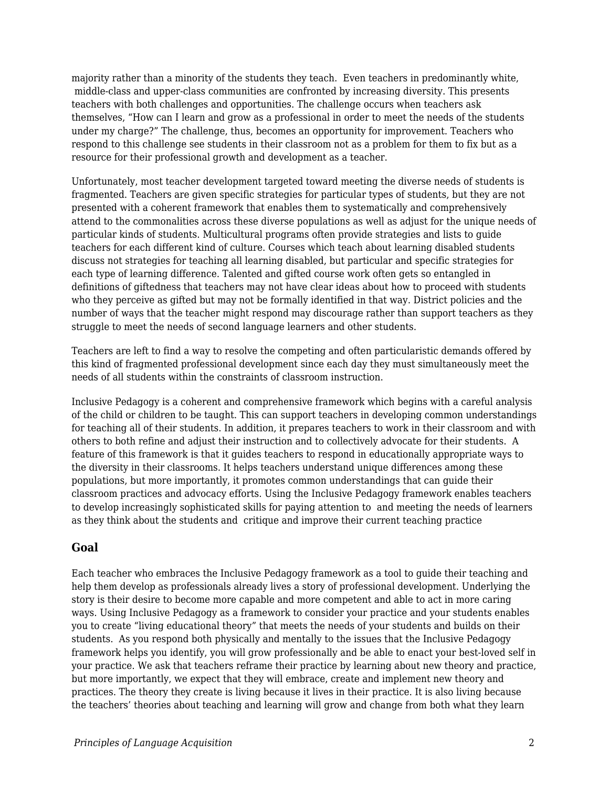majority rather than a minority of the students they teach. Even teachers in predominantly white, middle-class and upper-class communities are confronted by increasing diversity. This presents teachers with both challenges and opportunities. The challenge occurs when teachers ask themselves, "How can I learn and grow as a professional in order to meet the needs of the students under my charge?" The challenge, thus, becomes an opportunity for improvement. Teachers who respond to this challenge see students in their classroom not as a problem for them to fix but as a resource for their professional growth and development as a teacher.

Unfortunately, most teacher development targeted toward meeting the diverse needs of students is fragmented. Teachers are given specific strategies for particular types of students, but they are not presented with a coherent framework that enables them to systematically and comprehensively attend to the commonalities across these diverse populations as well as adjust for the unique needs of particular kinds of students. Multicultural programs often provide strategies and lists to guide teachers for each different kind of culture. Courses which teach about learning disabled students discuss not strategies for teaching all learning disabled, but particular and specific strategies for each type of learning difference. Talented and gifted course work often gets so entangled in definitions of giftedness that teachers may not have clear ideas about how to proceed with students who they perceive as gifted but may not be formally identified in that way. District policies and the number of ways that the teacher might respond may discourage rather than support teachers as they struggle to meet the needs of second language learners and other students.

Teachers are left to find a way to resolve the competing and often particularistic demands offered by this kind of fragmented professional development since each day they must simultaneously meet the needs of all students within the constraints of classroom instruction.

Inclusive Pedagogy is a coherent and comprehensive framework which begins with a careful analysis of the child or children to be taught. This can support teachers in developing common understandings for teaching all of their students. In addition, it prepares teachers to work in their classroom and with others to both refine and adjust their instruction and to collectively advocate for their students. A feature of this framework is that it guides teachers to respond in educationally appropriate ways to the diversity in their classrooms. It helps teachers understand unique differences among these populations, but more importantly, it promotes common understandings that can guide their classroom practices and advocacy efforts. Using the Inclusive Pedagogy framework enables teachers to develop increasingly sophisticated skills for paying attention to and meeting the needs of learners as they think about the students and critique and improve their current teaching practice

#### **Goal**

Each teacher who embraces the Inclusive Pedagogy framework as a tool to guide their teaching and help them develop as professionals already lives a story of professional development. Underlying the story is their desire to become more capable and more competent and able to act in more caring ways. Using Inclusive Pedagogy as a framework to consider your practice and your students enables you to create "living educational theory" that meets the needs of your students and builds on their students. As you respond both physically and mentally to the issues that the Inclusive Pedagogy framework helps you identify, you will grow professionally and be able to enact your best-loved self in your practice. We ask that teachers reframe their practice by learning about new theory and practice, but more importantly, we expect that they will embrace, create and implement new theory and practices. The theory they create is living because it lives in their practice. It is also living because the teachers' theories about teaching and learning will grow and change from both what they learn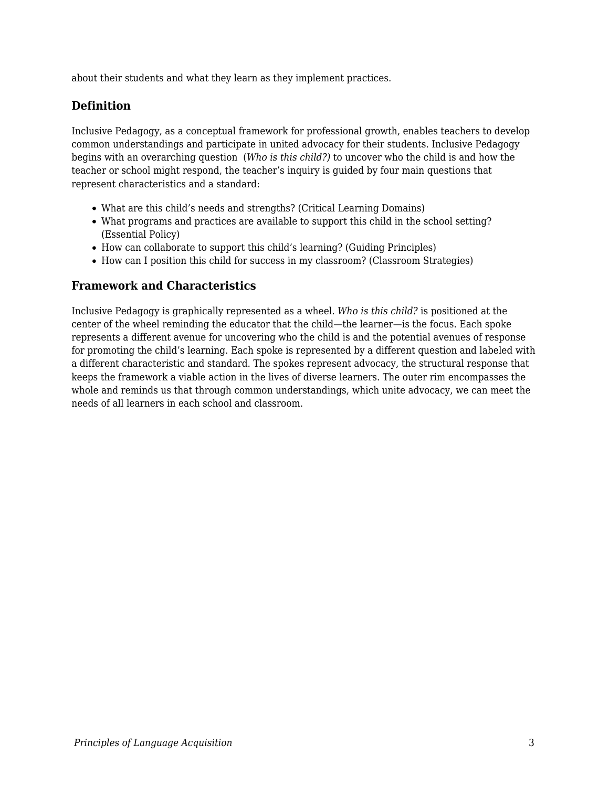about their students and what they learn as they implement practices.

### **Definition**

Inclusive Pedagogy, as a conceptual framework for professional growth, enables teachers to develop common understandings and participate in united advocacy for their students. Inclusive Pedagogy begins with an overarching question (*Who is this child?)* to uncover who the child is and how the teacher or school might respond, the teacher's inquiry is guided by four main questions that represent characteristics and a standard:

- What are this child's needs and strengths? (Critical Learning Domains)
- What programs and practices are available to support this child in the school setting? (Essential Policy)
- How can collaborate to support this child's learning? (Guiding Principles)
- How can I position this child for success in my classroom? (Classroom Strategies)

#### **Framework and Characteristics**

Inclusive Pedagogy is graphically represented as a wheel. *Who is this child?* is positioned at the center of the wheel reminding the educator that the child—the learner—is the focus. Each spoke represents a different avenue for uncovering who the child is and the potential avenues of response for promoting the child's learning. Each spoke is represented by a different question and labeled with a different characteristic and standard. The spokes represent advocacy, the structural response that keeps the framework a viable action in the lives of diverse learners. The outer rim encompasses the whole and reminds us that through common understandings, which unite advocacy, we can meet the needs of all learners in each school and classroom.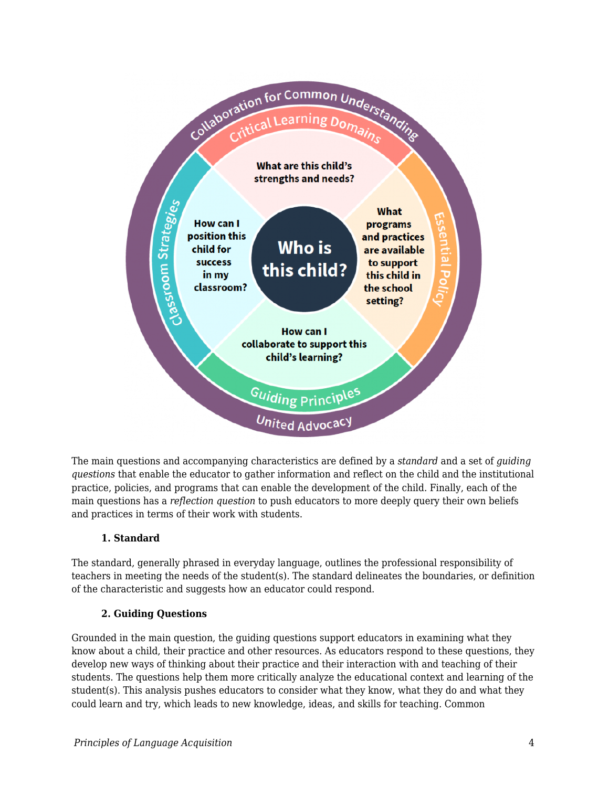

The main questions and accompanying characteristics are defined by a *standard* and a set of *guiding questions* that enable the educator to gather information and reflect on the child and the institutional practice, policies, and programs that can enable the development of the child. Finally, each of the main questions has a *reflection question* to push educators to more deeply query their own beliefs and practices in terms of their work with students.

#### **1. Standard**

The standard, generally phrased in everyday language, outlines the professional responsibility of teachers in meeting the needs of the student(s). The standard delineates the boundaries, or definition of the characteristic and suggests how an educator could respond.

#### **2. Guiding Questions**

Grounded in the main question, the guiding questions support educators in examining what they know about a child, their practice and other resources. As educators respond to these questions, they develop new ways of thinking about their practice and their interaction with and teaching of their students. The questions help them more critically analyze the educational context and learning of the student(s). This analysis pushes educators to consider what they know, what they do and what they could learn and try, which leads to new knowledge, ideas, and skills for teaching. Common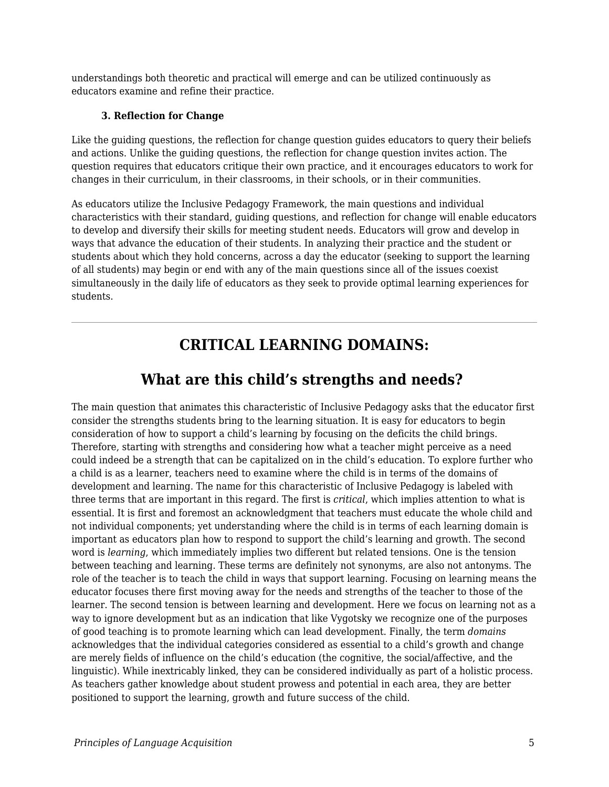understandings both theoretic and practical will emerge and can be utilized continuously as educators examine and refine their practice.

#### **3. Reflection for Change**

Like the guiding questions, the reflection for change question guides educators to query their beliefs and actions. Unlike the guiding questions, the reflection for change question invites action. The question requires that educators critique their own practice, and it encourages educators to work for changes in their curriculum, in their classrooms, in their schools, or in their communities.

As educators utilize the Inclusive Pedagogy Framework, the main questions and individual characteristics with their standard, guiding questions, and reflection for change will enable educators to develop and diversify their skills for meeting student needs. Educators will grow and develop in ways that advance the education of their students. In analyzing their practice and the student or students about which they hold concerns, across a day the educator (seeking to support the learning of all students) may begin or end with any of the main questions since all of the issues coexist simultaneously in the daily life of educators as they seek to provide optimal learning experiences for students.

## **CRITICAL LEARNING DOMAINS:**

## **What are this child's strengths and needs?**

The main question that animates this characteristic of Inclusive Pedagogy asks that the educator first consider the strengths students bring to the learning situation. It is easy for educators to begin consideration of how to support a child's learning by focusing on the deficits the child brings. Therefore, starting with strengths and considering how what a teacher might perceive as a need could indeed be a strength that can be capitalized on in the child's education. To explore further who a child is as a learner, teachers need to examine where the child is in terms of the domains of development and learning. The name for this characteristic of Inclusive Pedagogy is labeled with three terms that are important in this regard. The first is *critical*, which implies attention to what is essential. It is first and foremost an acknowledgment that teachers must educate the whole child and not individual components; yet understanding where the child is in terms of each learning domain is important as educators plan how to respond to support the child's learning and growth. The second word is *learning*, which immediately implies two different but related tensions. One is the tension between teaching and learning. These terms are definitely not synonyms, are also not antonyms. The role of the teacher is to teach the child in ways that support learning. Focusing on learning means the educator focuses there first moving away for the needs and strengths of the teacher to those of the learner. The second tension is between learning and development. Here we focus on learning not as a way to ignore development but as an indication that like Vygotsky we recognize one of the purposes of good teaching is to promote learning which can lead development. Finally, the term *domains* acknowledges that the individual categories considered as essential to a child's growth and change are merely fields of influence on the child's education (the cognitive, the social/affective, and the linguistic). While inextricably linked, they can be considered individually as part of a holistic process. As teachers gather knowledge about student prowess and potential in each area, they are better positioned to support the learning, growth and future success of the child.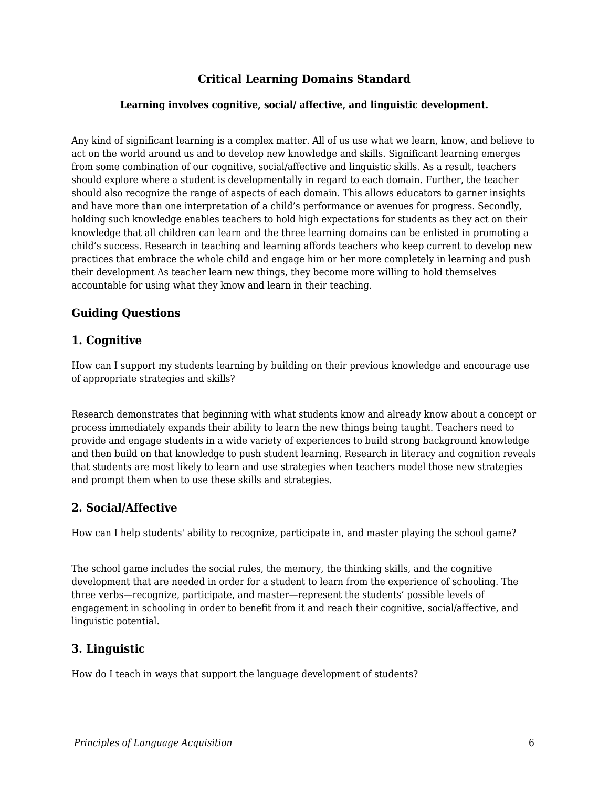### **Critical Learning Domains Standard**

#### **Learning involves cognitive, social/ affective, and linguistic development.**

Any kind of significant learning is a complex matter. All of us use what we learn, know, and believe to act on the world around us and to develop new knowledge and skills. Significant learning emerges from some combination of our cognitive, social/affective and linguistic skills. As a result, teachers should explore where a student is developmentally in regard to each domain. Further, the teacher should also recognize the range of aspects of each domain. This allows educators to garner insights and have more than one interpretation of a child's performance or avenues for progress. Secondly, holding such knowledge enables teachers to hold high expectations for students as they act on their knowledge that all children can learn and the three learning domains can be enlisted in promoting a child's success. Research in teaching and learning affords teachers who keep current to develop new practices that embrace the whole child and engage him or her more completely in learning and push their development As teacher learn new things, they become more willing to hold themselves accountable for using what they know and learn in their teaching.

### **Guiding Questions**

#### **1. Cognitive**

How can I support my students learning by building on their previous knowledge and encourage use of appropriate strategies and skills?

Research demonstrates that beginning with what students know and already know about a concept or process immediately expands their ability to learn the new things being taught. Teachers need to provide and engage students in a wide variety of experiences to build strong background knowledge and then build on that knowledge to push student learning. Research in literacy and cognition reveals that students are most likely to learn and use strategies when teachers model those new strategies and prompt them when to use these skills and strategies.

#### **2. Social/Affective**

How can I help students' ability to recognize, participate in, and master playing the school game?

The school game includes the social rules, the memory, the thinking skills, and the cognitive development that are needed in order for a student to learn from the experience of schooling. The three verbs—recognize, participate, and master—represent the students' possible levels of engagement in schooling in order to benefit from it and reach their cognitive, social/affective, and linguistic potential.

#### **3. Linguistic**

How do I teach in ways that support the language development of students?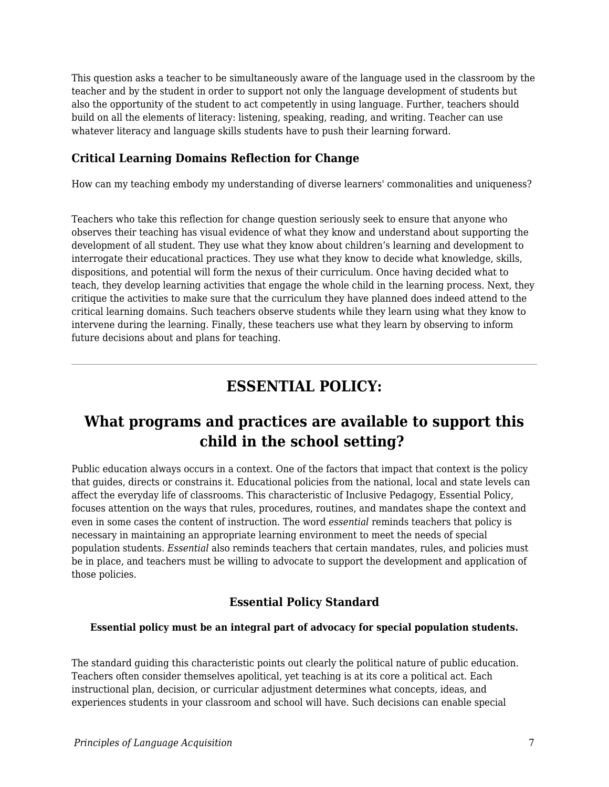This question asks a teacher to be simultaneously aware of the language used in the classroom by the teacher and by the student in order to support not only the language development of students but also the opportunity of the student to act competently in using language. Further, teachers should build on all the elements of literacy: listening, speaking, reading, and writing. Teacher can use whatever literacy and language skills students have to push their learning forward.

### **Critical Learning Domains Reflection for Change**

How can my teaching embody my understanding of diverse learners' commonalities and uniqueness?

Teachers who take this reflection for change question seriously seek to ensure that anyone who observes their teaching has visual evidence of what they know and understand about supporting the development of all student. They use what they know about children's learning and development to interrogate their educational practices. They use what they know to decide what knowledge, skills, dispositions, and potential will form the nexus of their curriculum. Once having decided what to teach, they develop learning activities that engage the whole child in the learning process. Next, they critique the activities to make sure that the curriculum they have planned does indeed attend to the critical learning domains. Such teachers observe students while they learn using what they know to intervene during the learning. Finally, these teachers use what they learn by observing to inform future decisions about and plans for teaching.

## **ESSENTIAL POLICY:**

## **What programs and practices are available to support this child in the school setting?**

Public education always occurs in a context. One of the factors that impact that context is the policy that guides, directs or constrains it. Educational policies from the national, local and state levels can affect the everyday life of classrooms. This characteristic of Inclusive Pedagogy, Essential Policy, focuses attention on the ways that rules, procedures, routines, and mandates shape the context and even in some cases the content of instruction. The word *essential* reminds teachers that policy is necessary in maintaining an appropriate learning environment to meet the needs of special population students. *Essential* also reminds teachers that certain mandates, rules, and policies must be in place, and teachers must be willing to advocate to support the development and application of those policies.

### **Essential Policy Standard**

#### **Essential policy must be an integral part of advocacy for special population students.**

The standard guiding this characteristic points out clearly the political nature of public education. Teachers often consider themselves apolitical, yet teaching is at its core a political act. Each instructional plan, decision, or curricular adjustment determines what concepts, ideas, and experiences students in your classroom and school will have. Such decisions can enable special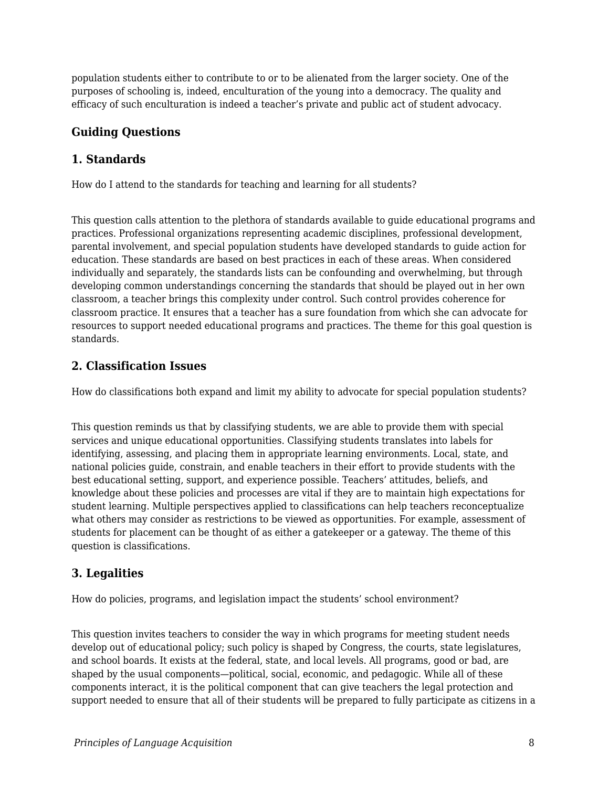population students either to contribute to or to be alienated from the larger society. One of the purposes of schooling is, indeed, enculturation of the young into a democracy. The quality and efficacy of such enculturation is indeed a teacher's private and public act of student advocacy.

### **Guiding Questions**

#### **1. Standards**

How do I attend to the standards for teaching and learning for all students?

This question calls attention to the plethora of standards available to guide educational programs and practices. Professional organizations representing academic disciplines, professional development, parental involvement, and special population students have developed standards to guide action for education. These standards are based on best practices in each of these areas. When considered individually and separately, the standards lists can be confounding and overwhelming, but through developing common understandings concerning the standards that should be played out in her own classroom, a teacher brings this complexity under control. Such control provides coherence for classroom practice. It ensures that a teacher has a sure foundation from which she can advocate for resources to support needed educational programs and practices. The theme for this goal question is standards.

### **2. Classification Issues**

How do classifications both expand and limit my ability to advocate for special population students?

This question reminds us that by classifying students, we are able to provide them with special services and unique educational opportunities. Classifying students translates into labels for identifying, assessing, and placing them in appropriate learning environments. Local, state, and national policies guide, constrain, and enable teachers in their effort to provide students with the best educational setting, support, and experience possible. Teachers' attitudes, beliefs, and knowledge about these policies and processes are vital if they are to maintain high expectations for student learning. Multiple perspectives applied to classifications can help teachers reconceptualize what others may consider as restrictions to be viewed as opportunities. For example, assessment of students for placement can be thought of as either a gatekeeper or a gateway. The theme of this question is classifications.

### **3. Legalities**

How do policies, programs, and legislation impact the students' school environment?

This question invites teachers to consider the way in which programs for meeting student needs develop out of educational policy; such policy is shaped by Congress, the courts, state legislatures, and school boards. It exists at the federal, state, and local levels. All programs, good or bad, are shaped by the usual components—political, social, economic, and pedagogic. While all of these components interact, it is the political component that can give teachers the legal protection and support needed to ensure that all of their students will be prepared to fully participate as citizens in a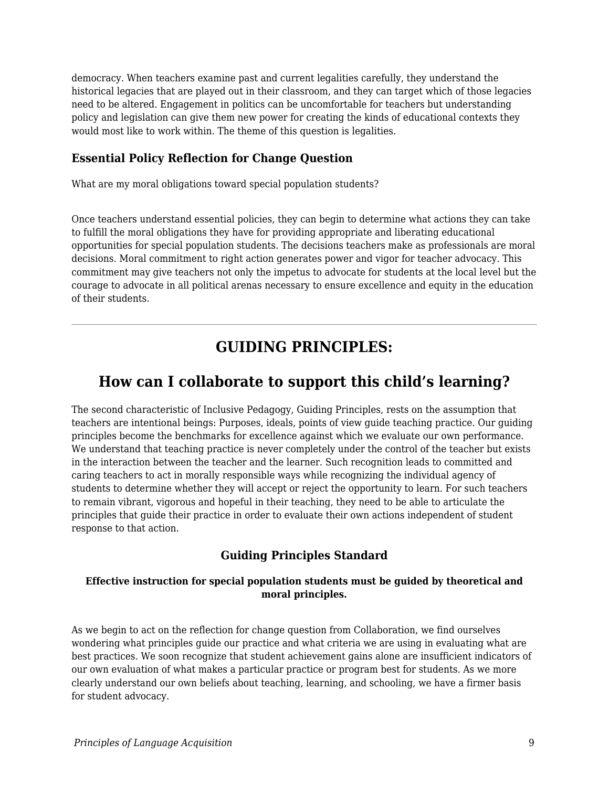democracy. When teachers examine past and current legalities carefully, they understand the historical legacies that are played out in their classroom, and they can target which of those legacies need to be altered. Engagement in politics can be uncomfortable for teachers but understanding policy and legislation can give them new power for creating the kinds of educational contexts they would most like to work within. The theme of this question is legalities.

#### **Essential Policy Reflection for Change Question**

What are my moral obligations toward special population students?

Once teachers understand essential policies, they can begin to determine what actions they can take to fulfill the moral obligations they have for providing appropriate and liberating educational opportunities for special population students. The decisions teachers make as professionals are moral decisions. Moral commitment to right action generates power and vigor for teacher advocacy. This commitment may give teachers not only the impetus to advocate for students at the local level but the courage to advocate in all political arenas necessary to ensure excellence and equity in the education of their students.

## **GUIDING PRINCIPLES:**

## **How can I collaborate to support this child's learning?**

The second characteristic of Inclusive Pedagogy, Guiding Principles, rests on the assumption that teachers are intentional beings: Purposes, ideals, points of view guide teaching practice. Our guiding principles become the benchmarks for excellence against which we evaluate our own performance. We understand that teaching practice is never completely under the control of the teacher but exists in the interaction between the teacher and the learner. Such recognition leads to committed and caring teachers to act in morally responsible ways while recognizing the individual agency of students to determine whether they will accept or reject the opportunity to learn. For such teachers to remain vibrant, vigorous and hopeful in their teaching, they need to be able to articulate the principles that guide their practice in order to evaluate their own actions independent of student response to that action.

### **Guiding Principles Standard**

#### **Effective instruction for special population students must be guided by theoretical and moral principles.**

As we begin to act on the reflection for change question from Collaboration, we find ourselves wondering what principles guide our practice and what criteria we are using in evaluating what are best practices. We soon recognize that student achievement gains alone are insufficient indicators of our own evaluation of what makes a particular practice or program best for students. As we more clearly understand our own beliefs about teaching, learning, and schooling, we have a firmer basis for student advocacy.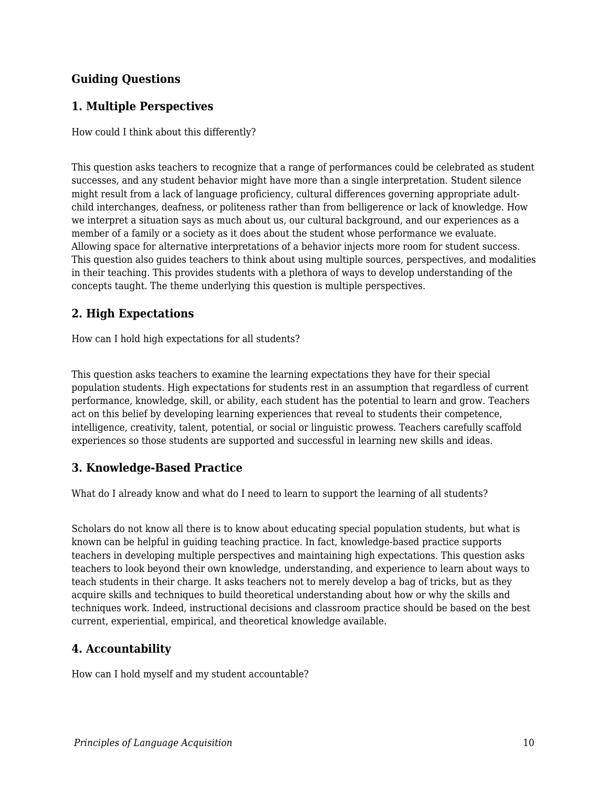### **Guiding Questions**

### **1. Multiple Perspectives**

How could I think about this differently?

This question asks teachers to recognize that a range of performances could be celebrated as student successes, and any student behavior might have more than a single interpretation. Student silence might result from a lack of language proficiency, cultural differences governing appropriate adultchild interchanges, deafness, or politeness rather than from belligerence or lack of knowledge. How we interpret a situation says as much about us, our cultural background, and our experiences as a member of a family or a society as it does about the student whose performance we evaluate. Allowing space for alternative interpretations of a behavior injects more room for student success. This question also guides teachers to think about using multiple sources, perspectives, and modalities in their teaching. This provides students with a plethora of ways to develop understanding of the concepts taught. The theme underlying this question is multiple perspectives.

### **2. High Expectations**

How can I hold high expectations for all students?

This question asks teachers to examine the learning expectations they have for their special population students. High expectations for students rest in an assumption that regardless of current performance, knowledge, skill, or ability, each student has the potential to learn and grow. Teachers act on this belief by developing learning experiences that reveal to students their competence, intelligence, creativity, talent, potential, or social or linguistic prowess. Teachers carefully scaffold experiences so those students are supported and successful in learning new skills and ideas.

### **3. Knowledge-Based Practice**

What do I already know and what do I need to learn to support the learning of all students?

Scholars do not know all there is to know about educating special population students, but what is known can be helpful in guiding teaching practice. In fact, knowledge-based practice supports teachers in developing multiple perspectives and maintaining high expectations. This question asks teachers to look beyond their own knowledge, understanding, and experience to learn about ways to teach students in their charge. It asks teachers not to merely develop a bag of tricks, but as they acquire skills and techniques to build theoretical understanding about how or why the skills and techniques work. Indeed, instructional decisions and classroom practice should be based on the best current, experiential, empirical, and theoretical knowledge available.

### **4. Accountability**

How can I hold myself and my student accountable?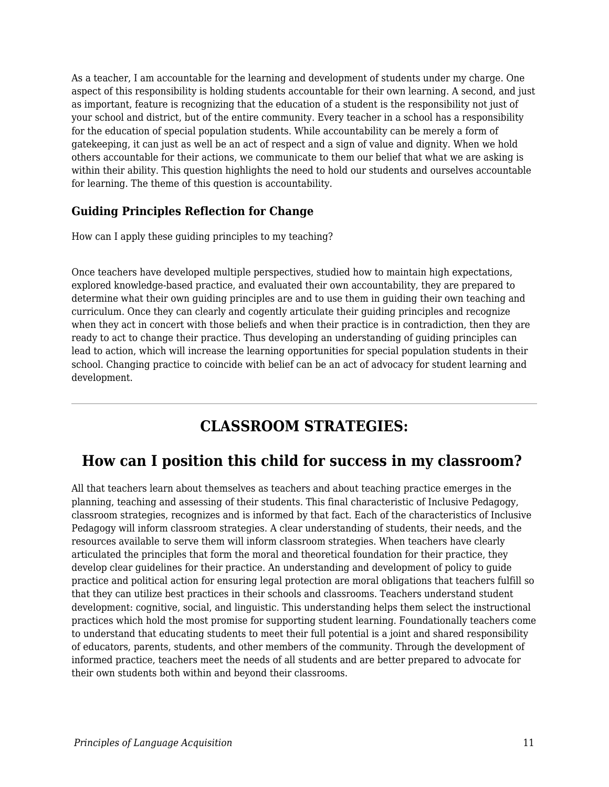As a teacher, I am accountable for the learning and development of students under my charge. One aspect of this responsibility is holding students accountable for their own learning. A second, and just as important, feature is recognizing that the education of a student is the responsibility not just of your school and district, but of the entire community. Every teacher in a school has a responsibility for the education of special population students. While accountability can be merely a form of gatekeeping, it can just as well be an act of respect and a sign of value and dignity. When we hold others accountable for their actions, we communicate to them our belief that what we are asking is within their ability. This question highlights the need to hold our students and ourselves accountable for learning. The theme of this question is accountability.

### **Guiding Principles Reflection for Change**

How can I apply these guiding principles to my teaching?

Once teachers have developed multiple perspectives, studied how to maintain high expectations, explored knowledge-based practice, and evaluated their own accountability, they are prepared to determine what their own guiding principles are and to use them in guiding their own teaching and curriculum. Once they can clearly and cogently articulate their guiding principles and recognize when they act in concert with those beliefs and when their practice is in contradiction, then they are ready to act to change their practice. Thus developing an understanding of guiding principles can lead to action, which will increase the learning opportunities for special population students in their school. Changing practice to coincide with belief can be an act of advocacy for student learning and development.

## **CLASSROOM STRATEGIES:**

## **How can I position this child for success in my classroom?**

All that teachers learn about themselves as teachers and about teaching practice emerges in the planning, teaching and assessing of their students. This final characteristic of Inclusive Pedagogy, classroom strategies, recognizes and is informed by that fact. Each of the characteristics of Inclusive Pedagogy will inform classroom strategies. A clear understanding of students, their needs, and the resources available to serve them will inform classroom strategies. When teachers have clearly articulated the principles that form the moral and theoretical foundation for their practice, they develop clear guidelines for their practice. An understanding and development of policy to guide practice and political action for ensuring legal protection are moral obligations that teachers fulfill so that they can utilize best practices in their schools and classrooms. Teachers understand student development: cognitive, social, and linguistic. This understanding helps them select the instructional practices which hold the most promise for supporting student learning. Foundationally teachers come to understand that educating students to meet their full potential is a joint and shared responsibility of educators, parents, students, and other members of the community. Through the development of informed practice, teachers meet the needs of all students and are better prepared to advocate for their own students both within and beyond their classrooms.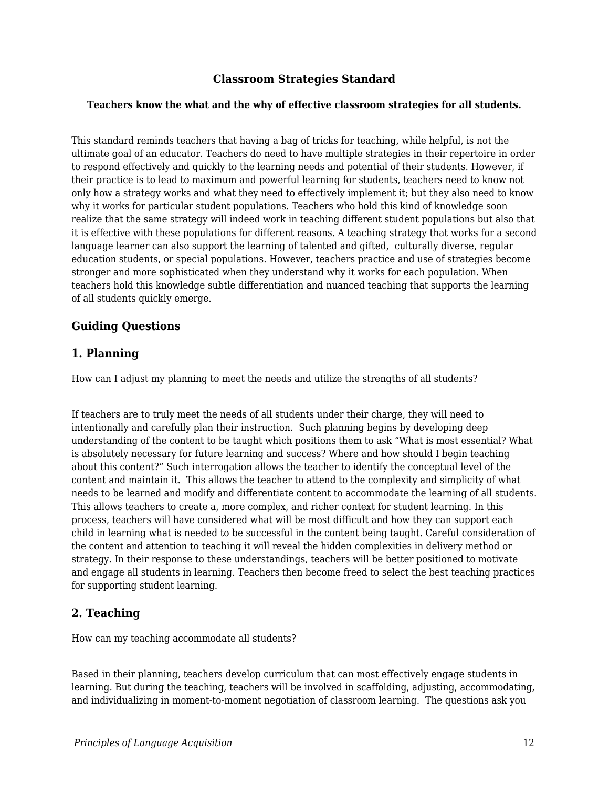### **Classroom Strategies Standard**

#### **Teachers know the what and the why of effective classroom strategies for all students.**

This standard reminds teachers that having a bag of tricks for teaching, while helpful, is not the ultimate goal of an educator. Teachers do need to have multiple strategies in their repertoire in order to respond effectively and quickly to the learning needs and potential of their students. However, if their practice is to lead to maximum and powerful learning for students, teachers need to know not only how a strategy works and what they need to effectively implement it; but they also need to know why it works for particular student populations. Teachers who hold this kind of knowledge soon realize that the same strategy will indeed work in teaching different student populations but also that it is effective with these populations for different reasons. A teaching strategy that works for a second language learner can also support the learning of talented and gifted, culturally diverse, regular education students, or special populations. However, teachers practice and use of strategies become stronger and more sophisticated when they understand why it works for each population. When teachers hold this knowledge subtle differentiation and nuanced teaching that supports the learning of all students quickly emerge.

#### **Guiding Questions**

#### **1. Planning**

How can I adjust my planning to meet the needs and utilize the strengths of all students?

If teachers are to truly meet the needs of all students under their charge, they will need to intentionally and carefully plan their instruction. Such planning begins by developing deep understanding of the content to be taught which positions them to ask "What is most essential? What is absolutely necessary for future learning and success? Where and how should I begin teaching about this content?" Such interrogation allows the teacher to identify the conceptual level of the content and maintain it. This allows the teacher to attend to the complexity and simplicity of what needs to be learned and modify and differentiate content to accommodate the learning of all students. This allows teachers to create a, more complex, and richer context for student learning. In this process, teachers will have considered what will be most difficult and how they can support each child in learning what is needed to be successful in the content being taught. Careful consideration of the content and attention to teaching it will reveal the hidden complexities in delivery method or strategy. In their response to these understandings, teachers will be better positioned to motivate and engage all students in learning. Teachers then become freed to select the best teaching practices for supporting student learning.

### **2. Teaching**

How can my teaching accommodate all students?

Based in their planning, teachers develop curriculum that can most effectively engage students in learning. But during the teaching, teachers will be involved in scaffolding, adjusting, accommodating, and individualizing in moment-to-moment negotiation of classroom learning. The questions ask you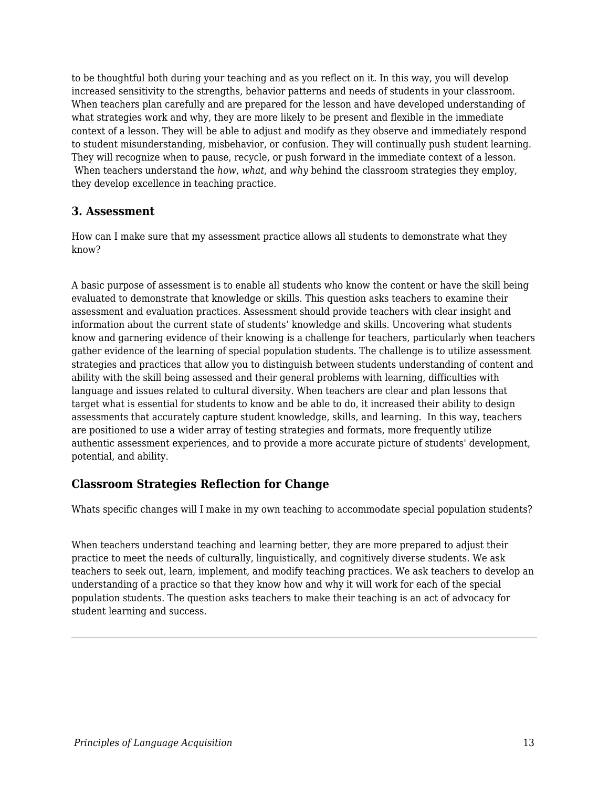to be thoughtful both during your teaching and as you reflect on it. In this way, you will develop increased sensitivity to the strengths, behavior patterns and needs of students in your classroom. When teachers plan carefully and are prepared for the lesson and have developed understanding of what strategies work and why, they are more likely to be present and flexible in the immediate context of a lesson. They will be able to adjust and modify as they observe and immediately respond to student misunderstanding, misbehavior, or confusion. They will continually push student learning. They will recognize when to pause, recycle, or push forward in the immediate context of a lesson. When teachers understand the *how*, *what*, and *why* behind the classroom strategies they employ, they develop excellence in teaching practice.

#### **3. Assessment**

How can I make sure that my assessment practice allows all students to demonstrate what they know?

A basic purpose of assessment is to enable all students who know the content or have the skill being evaluated to demonstrate that knowledge or skills. This question asks teachers to examine their assessment and evaluation practices. Assessment should provide teachers with clear insight and information about the current state of students' knowledge and skills. Uncovering what students know and garnering evidence of their knowing is a challenge for teachers, particularly when teachers gather evidence of the learning of special population students. The challenge is to utilize assessment strategies and practices that allow you to distinguish between students understanding of content and ability with the skill being assessed and their general problems with learning, difficulties with language and issues related to cultural diversity. When teachers are clear and plan lessons that target what is essential for students to know and be able to do, it increased their ability to design assessments that accurately capture student knowledge, skills, and learning. In this way, teachers are positioned to use a wider array of testing strategies and formats, more frequently utilize authentic assessment experiences, and to provide a more accurate picture of students' development, potential, and ability.

### **Classroom Strategies Reflection for Change**

Whats specific changes will I make in my own teaching to accommodate special population students?

When teachers understand teaching and learning better, they are more prepared to adjust their practice to meet the needs of culturally, linguistically, and cognitively diverse students. We ask teachers to seek out, learn, implement, and modify teaching practices. We ask teachers to develop an understanding of a practice so that they know how and why it will work for each of the special population students. The question asks teachers to make their teaching is an act of advocacy for student learning and success.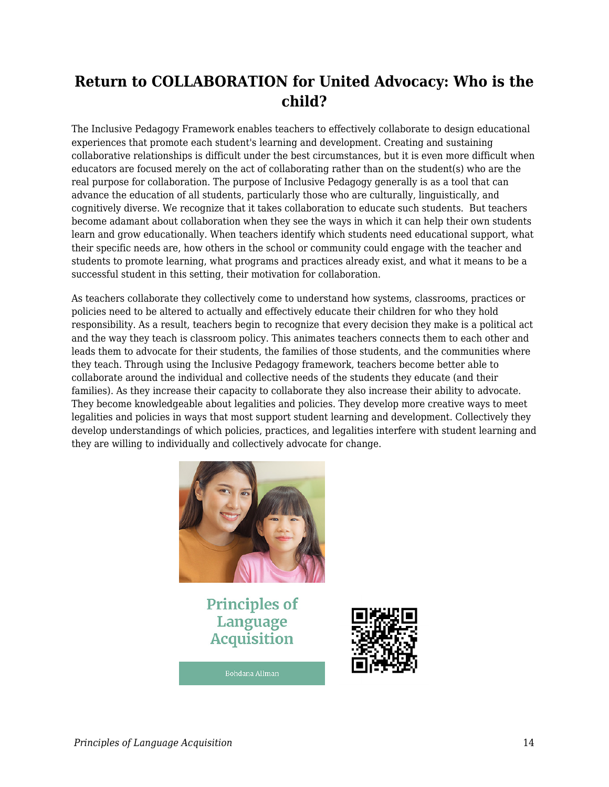## **Return to COLLABORATION for United Advocacy: Who is the child?**

The Inclusive Pedagogy Framework enables teachers to effectively collaborate to design educational experiences that promote each student's learning and development. Creating and sustaining collaborative relationships is difficult under the best circumstances, but it is even more difficult when educators are focused merely on the act of collaborating rather than on the student(s) who are the real purpose for collaboration. The purpose of Inclusive Pedagogy generally is as a tool that can advance the education of all students, particularly those who are culturally, linguistically, and cognitively diverse. We recognize that it takes collaboration to educate such students. But teachers become adamant about collaboration when they see the ways in which it can help their own students learn and grow educationally. When teachers identify which students need educational support, what their specific needs are, how others in the school or community could engage with the teacher and students to promote learning, what programs and practices already exist, and what it means to be a successful student in this setting, their motivation for collaboration.

As teachers collaborate they collectively come to understand how systems, classrooms, practices or policies need to be altered to actually and effectively educate their children for who they hold responsibility. As a result, teachers begin to recognize that every decision they make is a political act and the way they teach is classroom policy. This animates teachers connects them to each other and leads them to advocate for their students, the families of those students, and the communities where they teach. Through using the Inclusive Pedagogy framework, teachers become better able to collaborate around the individual and collective needs of the students they educate (and their families). As they increase their capacity to collaborate they also increase their ability to advocate. They become knowledgeable about legalities and policies. They develop more creative ways to meet legalities and policies in ways that most support student learning and development. Collectively they develop understandings of which policies, practices, and legalities interfere with student learning and they are willing to individually and collectively advocate for change.



**Principles of** Language **Acquisition** 

**Bohdana Allman**